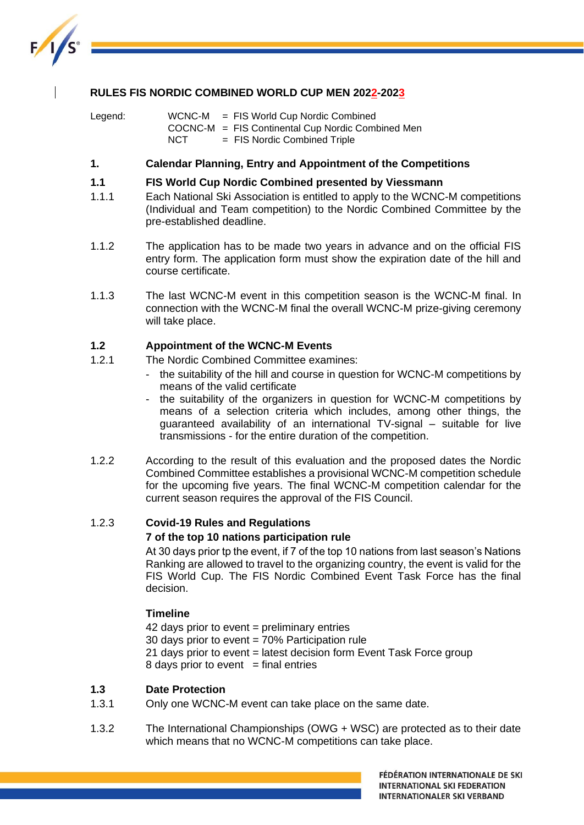

## **RULES FIS NORDIC COMBINED WORLD CUP MEN 2022-2023**

Legend: WCNC-M = FIS World Cup Nordic Combined COCNC-M = FIS Continental Cup Nordic Combined Men NCT = FIS Nordic Combined Triple

## **1. Calendar Planning, Entry and Appointment of the Competitions**

#### **1.1 FIS World Cup Nordic Combined presented by Viessmann**

- 1.1.1 Each National Ski Association is entitled to apply to the WCNC-M competitions (Individual and Team competition) to the Nordic Combined Committee by the pre-established deadline.
- 1.1.2 The application has to be made two years in advance and on the official FIS entry form. The application form must show the expiration date of the hill and course certificate.
- 1.1.3 The last WCNC-M event in this competition season is the WCNC-M final. In connection with the WCNC-M final the overall WCNC-M prize-giving ceremony will take place.

#### **1.2 Appointment of the WCNC-M Events**

- 1.2.1 The Nordic Combined Committee examines:
	- the suitability of the hill and course in question for WCNC-M competitions by means of the valid certificate
	- the suitability of the organizers in question for WCNC-M competitions by means of a selection criteria which includes, among other things, the guaranteed availability of an international TV-signal – suitable for live transmissions - for the entire duration of the competition.
- 1.2.2 According to the result of this evaluation and the proposed dates the Nordic Combined Committee establishes a provisional WCNC-M competition schedule for the upcoming five years. The final WCNC-M competition calendar for the current season requires the approval of the FIS Council.

# 1.2.3 **Covid-19 Rules and Regulations**

## **7 of the top 10 nations participation rule**

At 30 days prior tp the event, if 7 of the top 10 nations from last season's Nations Ranking are allowed to travel to the organizing country, the event is valid for the FIS World Cup. The FIS Nordic Combined Event Task Force has the final decision.

## **Timeline**

42 days prior to event = preliminary entries 30 days prior to event  $= 70\%$  Participation rule 21 days prior to event = latest decision form Event Task Force group 8 days prior to event  $=$  final entries

## **1.3 Date Protection**

- 1.3.1 Only one WCNC-M event can take place on the same date.
- 1.3.2 The International Championships (OWG + WSC) are protected as to their date which means that no WCNC-M competitions can take place.

FÉDÉRATION INTERNATIONALE DE SKI **INTERNATIONAL SKI FEDERATION INTERNATIONALER SKI VERBAND**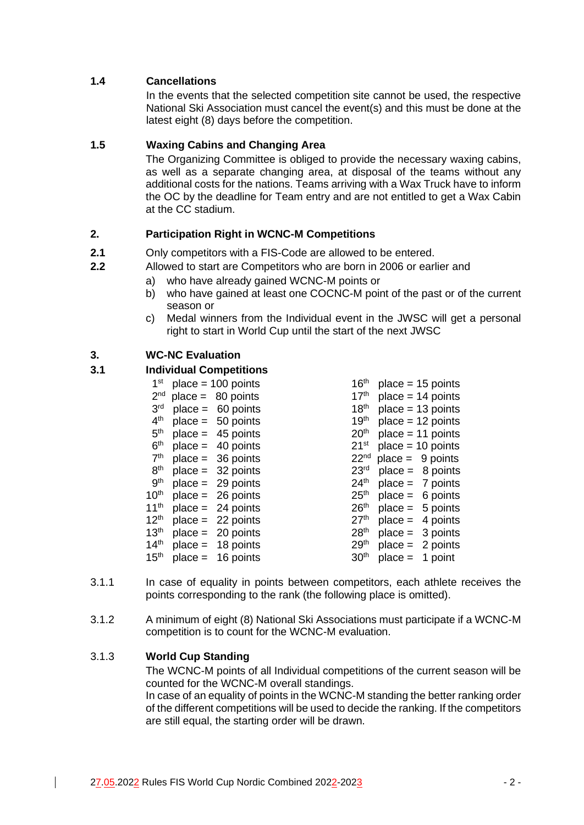## **1.4 Cancellations**

In the events that the selected competition site cannot be used, the respective National Ski Association must cancel the event(s) and this must be done at the latest eight (8) days before the competition.

## **1.5 Waxing Cabins and Changing Area**

The Organizing Committee is obliged to provide the necessary waxing cabins, as well as a separate changing area, at disposal of the teams without any additional costs for the nations. Teams arriving with a Wax Truck have to inform the OC by the deadline for Team entry and are not entitled to get a Wax Cabin at the CC stadium.

## **2. Participation Right in WCNC-M Competitions**

- **2.1** Only competitors with a FIS-Code are allowed to be entered.
- **2.2** Allowed to start are Competitors who are born in 2006 or earlier and
	- a) who have already gained WCNC-M points or
	- b) who have gained at least one COCNC-M point of the past or of the current season or
	- c) Medal winners from the Individual event in the JWSC will get a personal right to start in World Cup until the start of the next JWSC

## **3. WC-NC Evaluation**

## **3.1 Individual Competitions**

| 1 <sup>st</sup>  | $place = 100 points$ | 16 <sup>th</sup> | $place = 15 points$ |
|------------------|----------------------|------------------|---------------------|
| 2 <sup>nd</sup>  | $place = 80 points$  | 17 <sup>th</sup> | $place = 14 points$ |
| 3 <sup>rd</sup>  | $place = 60 points$  | 18 <sup>th</sup> | $place = 13 points$ |
| 4 <sup>th</sup>  | $place = 50 points$  | 19 <sup>th</sup> | $place = 12 points$ |
| 5 <sup>th</sup>  | $place = 45 points$  | 20 <sup>th</sup> | $place = 11 points$ |
| 6 <sup>th</sup>  | $place = 40 points$  | $21^{st}$        | $place = 10 points$ |
| 7 <sup>th</sup>  | $place = 36 points$  | 22 <sup>nd</sup> | $place = 9 points$  |
| 8 <sup>th</sup>  | $place = 32 points$  | 23 <sup>rd</sup> | $place = 8 points$  |
| 9 <sup>th</sup>  | $place = 29 points$  | 24 <sup>th</sup> | $place = 7 points$  |
| 10 <sup>th</sup> | $place = 26 points$  | 25 <sup>th</sup> | $place = 6 points$  |
| 11 <sup>th</sup> | $place = 24 points$  | 26 <sup>th</sup> | $place = 5 points$  |
| 12 <sup>th</sup> | $place = 22 points$  | 27 <sup>th</sup> | $place = 4 points$  |
| 13 <sup>th</sup> | $place = 20 points$  | 28 <sup>th</sup> | $place = 3 points$  |
| 14 <sup>th</sup> | $place = 18 points$  | 29 <sup>th</sup> | $place = 2 points$  |
| 15 <sup>th</sup> | $place = 16 points$  | 30 <sup>th</sup> | $place = 1 point$   |
|                  |                      |                  |                     |

- 3.1.1 In case of equality in points between competitors, each athlete receives the points corresponding to the rank (the following place is omitted).
- 3.1.2 A minimum of eight (8) National Ski Associations must participate if a WCNC-M competition is to count for the WCNC-M evaluation.

## 3.1.3 **World Cup Standing**

The WCNC-M points of all Individual competitions of the current season will be counted for the WCNC-M overall standings.

In case of an equality of points in the WCNC-M standing the better ranking order of the different competitions will be used to decide the ranking. If the competitors are still equal, the starting order will be drawn.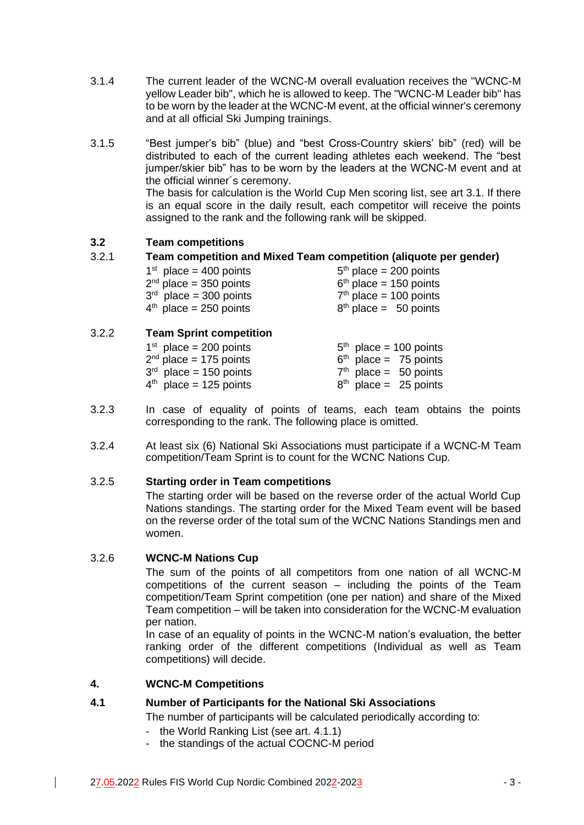- 3.1.4 The current leader of the WCNC-M overall evaluation receives the "WCNC-M yellow Leader bib", which he is allowed to keep. The "WCNC-M Leader bib" has to be worn by the leader at the WCNC-M event, at the official winner's ceremony and at all official Ski Jumping trainings.
- 3.1.5 "Best jumper's bib" (blue) and "best Cross-Country skiers' bib" (red) will be distributed to each of the current leading athletes each weekend. The "best jumper/skier bib" has to be worn by the leaders at the WCNC-M event and at the official winner´s ceremony. The basis for calculation is the World Cup Men scoring list, see art 3.1. If there is an equal score in the daily result, each competitor will receive the points assigned to the rank and the following rank will be skipped.

## **3.2 Team competitions**

## 3.2.1 **Team competition and Mixed Team competition (aliquote per gender)**

| $5th$ place = 200 points |
|--------------------------|
| $6th$ place = 150 points |
| $7th$ place = 100 points |
| $8th$ place = 50 points  |
|                          |

## 3.2.2 **Team Sprint competition**

| $1st$ place = 200 points | $5th$ place = 100 points |
|--------------------------|--------------------------|
| $2nd$ place = 175 points | $6th$ place = 75 points  |
| $3rd$ place = 150 points | $7th$ place = 50 points  |
| $4th$ place = 125 points | $8th$ place = 25 points  |
|                          |                          |

- 3.2.3 In case of equality of points of teams, each team obtains the points corresponding to the rank. The following place is omitted.
- 3.2.4 At least six (6) National Ski Associations must participate if a WCNC-M Team competition/Team Sprint is to count for the WCNC Nations Cup.

## 3.2.5 **Starting order in Team competitions**

The starting order will be based on the reverse order of the actual World Cup Nations standings. The starting order for the Mixed Team event will be based on the reverse order of the total sum of the WCNC Nations Standings men and women.

## 3.2.6 **WCNC-M Nations Cup**

The sum of the points of all competitors from one nation of all WCNC-M competitions of the current season – including the points of the Team competition/Team Sprint competition (one per nation) and share of the Mixed Team competition – will be taken into consideration for the WCNC-M evaluation per nation.

In case of an equality of points in the WCNC-M nation's evaluation, the better ranking order of the different competitions (Individual as well as Team competitions) will decide.

## **4. WCNC-M Competitions**

## **4.1 Number of Participants for the National Ski Associations**

The number of participants will be calculated periodically according to:

- the World Ranking List (see art. 4.1.1)
- the standings of the actual COCNC-M period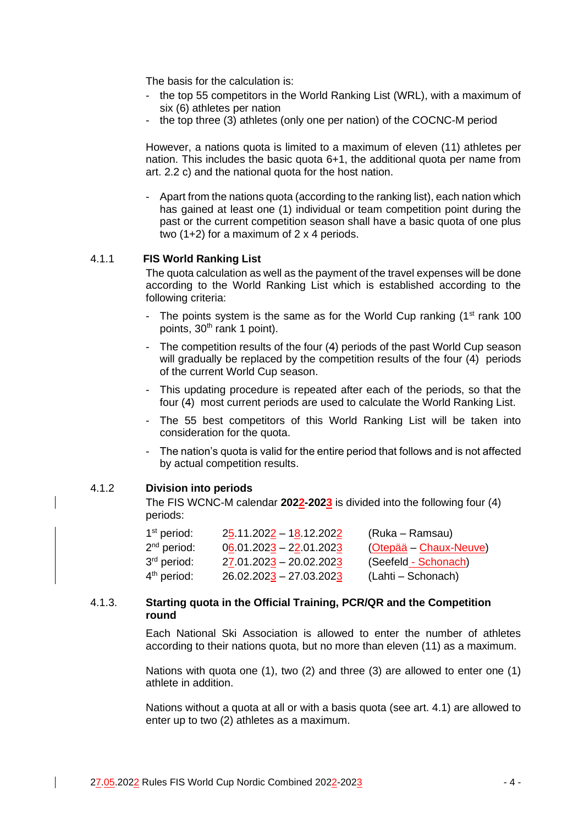The basis for the calculation is:

- the top 55 competitors in the World Ranking List (WRL), with a maximum of six (6) athletes per nation
- the top three (3) athletes (only one per nation) of the COCNC-M period

However, a nations quota is limited to a maximum of eleven (11) athletes per nation. This includes the basic quota 6+1, the additional quota per name from art. 2.2 c) and the national quota for the host nation.

- Apart from the nations quota (according to the ranking list), each nation which has gained at least one (1) individual or team competition point during the past or the current competition season shall have a basic quota of one plus two (1+2) for a maximum of 2 x 4 periods.

#### 4.1.1 **FIS World Ranking List**

The quota calculation as well as the payment of the travel expenses will be done according to the World Ranking List which is established according to the following criteria:

- The points system is the same as for the World Cup ranking  $(1<sup>st</sup> rank 100)$ points, 30<sup>th</sup> rank 1 point).
- The competition results of the four (4) periods of the past World Cup season will gradually be replaced by the competition results of the four (4) periods of the current World Cup season.
- This updating procedure is repeated after each of the periods, so that the four (4) most current periods are used to calculate the World Ranking List.
- The 55 best competitors of this World Ranking List will be taken into consideration for the quota.
- The nation's quota is valid for the entire period that follows and is not affected by actual competition results.

### 4.1.2 **Division into periods**

The FIS WCNC-M calendar **2022-2023** is divided into the following four (4) periods:

| $1st$ period:           | 25.11.2022 - 18.12.2022   | (Ruka – Ramsau)        |
|-------------------------|---------------------------|------------------------|
| $2nd$ period:           | $06.01.2023 - 22.01.2023$ | (Otepää – Chaux-Neuve) |
| 3 <sup>rd</sup> period: | $27.01.2023 - 20.02.2023$ | (Seefeld - Schonach)   |
| 4 <sup>th</sup> period: | $26.02.2023 - 27.03.2023$ | (Lahti – Schonach)     |

#### 4.1.3. **Starting quota in the Official Training, PCR/QR and the Competition round**

Each National Ski Association is allowed to enter the number of athletes according to their nations quota, but no more than eleven (11) as a maximum.

Nations with quota one (1), two (2) and three (3) are allowed to enter one (1) athlete in addition.

Nations without a quota at all or with a basis quota (see art. 4.1) are allowed to enter up to two (2) athletes as a maximum.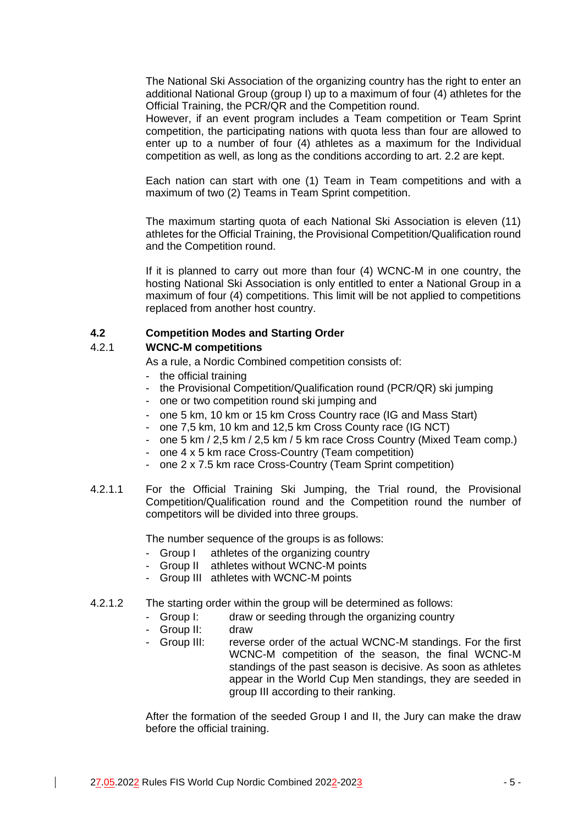The National Ski Association of the organizing country has the right to enter an additional National Group (group I) up to a maximum of four (4) athletes for the Official Training, the PCR/QR and the Competition round.

However, if an event program includes a Team competition or Team Sprint competition, the participating nations with quota less than four are allowed to enter up to a number of four (4) athletes as a maximum for the Individual competition as well, as long as the conditions according to art. 2.2 are kept.

Each nation can start with one (1) Team in Team competitions and with a maximum of two (2) Teams in Team Sprint competition.

The maximum starting quota of each National Ski Association is eleven (11) athletes for the Official Training, the Provisional Competition/Qualification round and the Competition round.

If it is planned to carry out more than four (4) WCNC-M in one country, the hosting National Ski Association is only entitled to enter a National Group in a maximum of four (4) competitions. This limit will be not applied to competitions replaced from another host country.

## **4.2 Competition Modes and Starting Order**

## 4.2.1 **WCNC-M competitions**

As a rule, a Nordic Combined competition consists of:

- the official training
- the Provisional Competition/Qualification round (PCR/QR) ski jumping
- one or two competition round ski jumping and
- one 5 km, 10 km or 15 km Cross Country race (IG and Mass Start)
- one 7,5 km, 10 km and 12,5 km Cross County race (IG NCT)
- one 5 km / 2,5 km / 2,5 km / 5 km race Cross Country (Mixed Team comp.)
- one 4 x 5 km race Cross-Country (Team competition)
- one 2 x 7.5 km race Cross-Country (Team Sprint competition)
- 4.2.1.1 For the Official Training Ski Jumping, the Trial round, the Provisional Competition/Qualification round and the Competition round the number of competitors will be divided into three groups.

The number sequence of the groups is as follows:

- Group I athletes of the organizing country
- Group II athletes without WCNC-M points
- Group III athletes with WCNC-M points
- 4.2.1.2 The starting order within the group will be determined as follows:
	- Group I: draw or seeding through the organizing country
	- Group II: draw
	- Group III: reverse order of the actual WCNC-M standings. For the first WCNC-M competition of the season, the final WCNC-M standings of the past season is decisive. As soon as athletes appear in the World Cup Men standings, they are seeded in group III according to their ranking.

After the formation of the seeded Group I and II, the Jury can make the draw before the official training.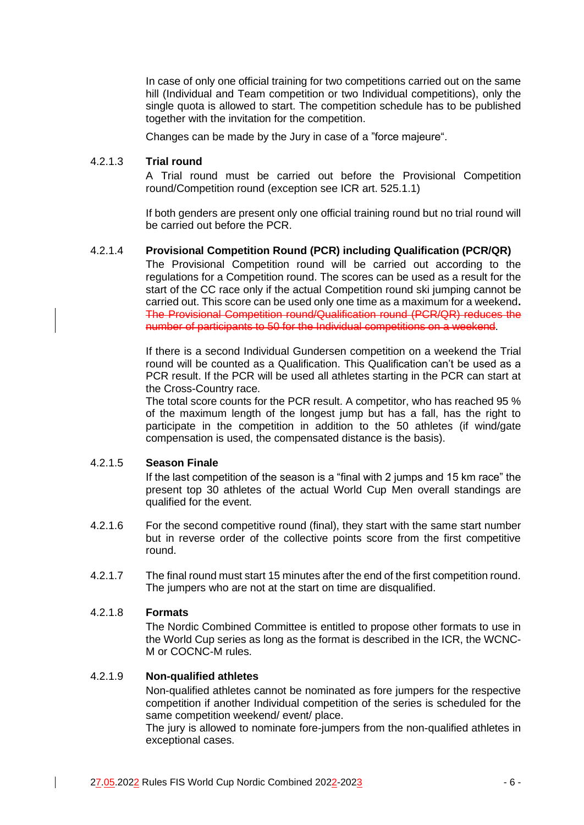In case of only one official training for two competitions carried out on the same hill (Individual and Team competition or two Individual competitions), only the single quota is allowed to start. The competition schedule has to be published together with the invitation for the competition.

Changes can be made by the Jury in case of a "force majeure".

## 4.2.1.3 **Trial round**

A Trial round must be carried out before the Provisional Competition round/Competition round (exception see ICR art. 525.1.1)

If both genders are present only one official training round but no trial round will be carried out before the PCR.

## 4.2.1.4 **Provisional Competition Round (PCR) including Qualification (PCR/QR)**

The Provisional Competition round will be carried out according to the regulations for a Competition round. The scores can be used as a result for the start of the CC race only if the actual Competition round ski jumping cannot be carried out. This score can be used only one time as a maximum for a weekend**.** The Provisional Competition round/Qualification round (PCR/QR) reduces the number of participants to 50 for the Individual competitions on a weekend.

If there is a second Individual Gundersen competition on a weekend the Trial round will be counted as a Qualification. This Qualification can't be used as a PCR result. If the PCR will be used all athletes starting in the PCR can start at the Cross-Country race.

The total score counts for the PCR result. A competitor, who has reached 95 % of the maximum length of the longest jump but has a fall, has the right to participate in the competition in addition to the 50 athletes (if wind/gate compensation is used, the compensated distance is the basis).

## 4.2.1.5 **Season Finale**

If the last competition of the season is a "final with 2 jumps and 15 km race" the present top 30 athletes of the actual World Cup Men overall standings are qualified for the event.

- 4.2.1.6 For the second competitive round (final), they start with the same start number but in reverse order of the collective points score from the first competitive round.
- 4.2.1.7 The final round must start 15 minutes after the end of the first competition round. The jumpers who are not at the start on time are disqualified.

## 4.2.1.8 **Formats**

The Nordic Combined Committee is entitled to propose other formats to use in the World Cup series as long as the format is described in the ICR, the WCNC-M or COCNC-M rules.

## 4.2.1.9 **Non-qualified athletes**

Non-qualified athletes cannot be nominated as fore jumpers for the respective competition if another Individual competition of the series is scheduled for the same competition weekend/ event/ place.

The jury is allowed to nominate fore-jumpers from the non-qualified athletes in exceptional cases.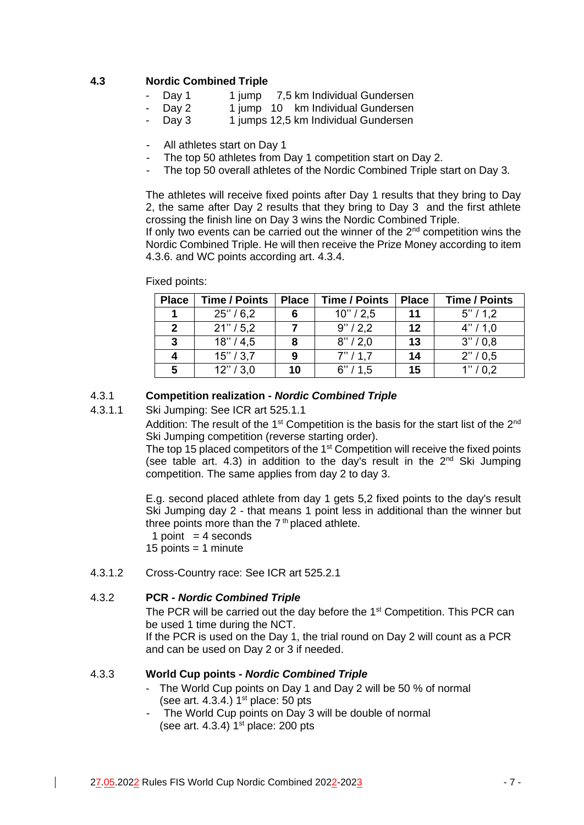## **4.3 Nordic Combined Triple**

- Day 1 1 jump 7,5 km Individual Gundersen
- Day 2 1 jump 10 km Individual Gundersen
- Day 3 1 jumps 12,5 km Individual Gundersen
- All athletes start on Day 1
- The top 50 athletes from Day 1 competition start on Day 2.
- The top 50 overall athletes of the Nordic Combined Triple start on Day 3.

The athletes will receive fixed points after Day 1 results that they bring to Day 2, the same after Day 2 results that they bring to Day 3 and the first athlete crossing the finish line on Day 3 wins the Nordic Combined Triple.

If only two events can be carried out the winner of the  $2<sup>nd</sup>$  competition wins the Nordic Combined Triple. He will then receive the Prize Money according to item 4.3.6. and WC points according art. 4.3.4.

#### Fixed points:

| <b>Place</b> | <b>Time / Points</b> | <b>Place</b> | <b>Time / Points</b> | <b>Place</b> | <b>Time / Points</b> |
|--------------|----------------------|--------------|----------------------|--------------|----------------------|
|              | $25^{\circ}$ / 6.2   | 6            | 10''/2,5             | 11           | 5''/1,2              |
| 2            | 21" / 5,2            |              | 9''/2,2              | 12           | 4" / 1,0             |
| 3            | 18" / 4.5            | 8            | 8''/2,0              | 13           | 3''/0.8              |
| 4            | 15''/3,7             | 9            | 7''/1.7              | 14           | 2" / 0.5             |
| 5            | 12" / 3,0            | 10           | 6''/1,5              | 15           | 1" / 0.2             |

#### 4.3.1 **Competition realization -** *Nordic Combined Triple*

#### 4.3.1.1 Ski Jumping: See ICR art 525.1.1

Addition: The result of the  $1<sup>st</sup>$  Competition is the basis for the start list of the  $2<sup>nd</sup>$ Ski Jumping competition (reverse starting order).

The top 15 placed competitors of the  $1<sup>st</sup>$  Competition will receive the fixed points (see table art. 4.3) in addition to the day's result in the  $2^{nd}$  Ski Jumping competition. The same applies from day 2 to day 3.

E.g. second placed athlete from day 1 gets 5,2 fixed points to the day's result Ski Jumping day 2 - that means 1 point less in additional than the winner but three points more than the  $7<sup>th</sup>$  placed athlete.

1 point  $=$  4 seconds 15 points  $=$  1 minute

4.3.1.2 Cross-Country race: See ICR art 525.2.1

#### 4.3.2 **PCR -** *Nordic Combined Triple*

The PCR will be carried out the day before the 1<sup>st</sup> Competition. This PCR can be used 1 time during the NCT.

If the PCR is used on the Day 1, the trial round on Day 2 will count as a PCR and can be used on Day 2 or 3 if needed.

#### 4.3.3 **World Cup points -** *Nordic Combined Triple*

- The World Cup points on Day 1 and Day 2 will be 50 % of normal (see art. 4.3.4.)  $1<sup>st</sup>$  place: 50 pts
- The World Cup points on Day 3 will be double of normal (see art. 4.3.4)  $1<sup>st</sup>$  place: 200 pts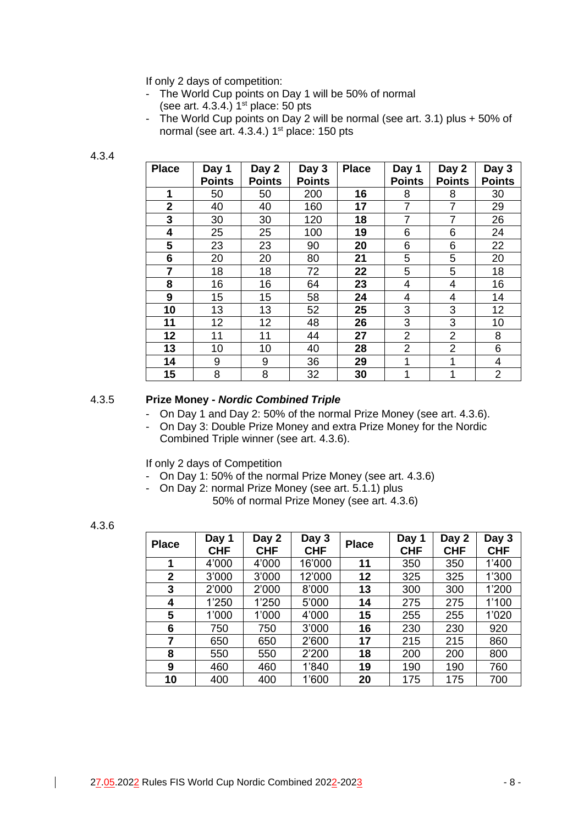If only 2 days of competition:

- The World Cup points on Day 1 will be 50% of normal (see art.  $4.3.4.$ )  $1<sup>st</sup>$  place: 50 pts
- The World Cup points on Day 2 will be normal (see art. 3.1) plus + 50% of normal (see art. 4.3.4.) 1<sup>st</sup> place: 150 pts

#### 4.3.4

| <b>Place</b>   | Day 1<br><b>Points</b> | Day 2<br><b>Points</b> | Day 3<br><b>Points</b> | <b>Place</b> | Day 1<br><b>Points</b> | Day 2<br><b>Points</b> | Day 3<br><b>Points</b> |
|----------------|------------------------|------------------------|------------------------|--------------|------------------------|------------------------|------------------------|
| 1              | 50                     | 50                     | 200                    | 16           | 8                      |                        | 30                     |
|                |                        |                        |                        |              |                        | 8                      |                        |
| $\mathbf{2}$   | 40                     | 40                     | 160                    | 17           | $\overline{7}$         | 7                      | 29                     |
| 3              | 30                     | 30                     | 120                    | 18           | $\overline{7}$         | 7                      | 26                     |
| 4              | 25                     | 25                     | 100                    | 19           | 6                      | 6                      | 24                     |
| 5              | 23                     | 23                     | 90                     | 20           | 6                      | 6                      | 22                     |
| 6              | 20                     | 20                     | 80                     | 21           | 5                      | 5                      | 20                     |
| $\overline{7}$ | 18                     | 18                     | 72                     | 22           | 5                      | 5                      | 18                     |
| 8              | 16                     | 16                     | 64                     | 23           | $\overline{4}$         | 4                      | 16                     |
| 9              | 15                     | 15                     | 58                     | 24           | 4                      | 4                      | 14                     |
| 10             | 13                     | 13                     | 52                     | 25           | 3                      | 3                      | 12                     |
| 11             | 12                     | 12                     | 48                     | 26           | 3                      | 3                      | 10                     |
| 12             | 11                     | 11                     | 44                     | 27           | $\overline{2}$         | $\overline{2}$         | 8                      |
| 13             | 10                     | 10                     | 40                     | 28           | $\overline{2}$         | $\overline{2}$         | 6                      |
| 14             | 9                      | 9                      | 36                     | 29           | 1                      | 1                      | 4                      |
| 15             | 8                      | 8                      | 32                     | 30           | 1                      | 1                      | $\overline{2}$         |

#### 4.3.5 **Prize Money -** *Nordic Combined Triple*

- On Day 1 and Day 2: 50% of the normal Prize Money (see art. 4.3.6).
- On Day 3: Double Prize Money and extra Prize Money for the Nordic Combined Triple winner (see art. 4.3.6).

If only 2 days of Competition

- On Day 1: 50% of the normal Prize Money (see art. 4.3.6)
- On Day 2: normal Prize Money (see art. 5.1.1) plus 50% of normal Prize Money (see art. 4.3.6)

4.3.6

| <b>Place</b>   | Day 1<br><b>CHF</b> | Day 2<br><b>CHF</b> | Day 3<br><b>CHF</b> | <b>Place</b> | Day 1<br><b>CHF</b> | Day 2<br><b>CHF</b> | Day 3<br><b>CHF</b> |
|----------------|---------------------|---------------------|---------------------|--------------|---------------------|---------------------|---------------------|
| 1              | 4'000               | 4'000               | 16'000              | 11           | 350                 | 350                 | 1'400               |
| $\overline{2}$ | 3'000               | 3'000               | 12'000              | 12           | 325                 | 325                 | 1'300               |
| 3              | 2'000               | 2'000               | 8'000               | 13           | 300                 | 300                 | 1'200               |
| 4              | 1'250               | 1'250               | 5'000               | 14           | 275                 | 275                 | 1'100               |
| 5              | 1'000               | 1'000               | 4'000               | 15           | 255                 | 255                 | 1'020               |
| 6              | 750                 | 750                 | 3'000               | 16           | 230                 | 230                 | 920                 |
| 7              | 650                 | 650                 | 2'600               | 17           | 215                 | 215                 | 860                 |
| 8              | 550                 | 550                 | 2'200               | 18           | 200                 | 200                 | 800                 |
| 9              | 460                 | 460                 | 1'840               | 19           | 190                 | 190                 | 760                 |
| 10             | 400                 | 400                 | 1'600               | 20           | 175                 | 175                 | 700                 |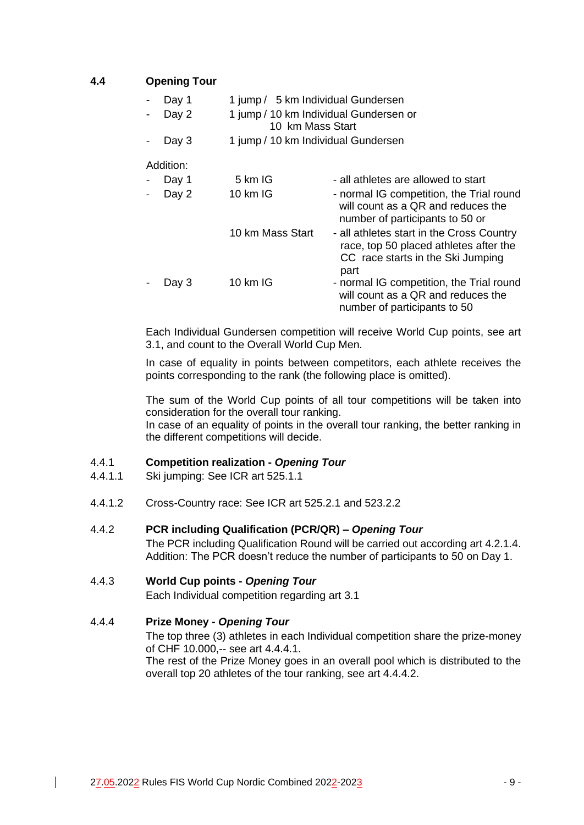## **4.4 Opening Tour**

| 1 jump / 5 km Individual Gundersen<br>Day 1 |  |
|---------------------------------------------|--|
|---------------------------------------------|--|

- Day 2 1 jump / 10 km Individual Gundersen or
	- 10 km Mass Start
- Day 3 1 jump / 10 km Individual Gundersen

## Addition:

| Day 1 | 5 km IG            | - all athletes are allowed to start                                                                                              |
|-------|--------------------|----------------------------------------------------------------------------------------------------------------------------------|
| Day 2 | $10 \text{ km}$ IG | - normal IG competition, the Trial round<br>will count as a QR and reduces the<br>number of participants to 50 or                |
|       | 10 km Mass Start   | - all athletes start in the Cross Country<br>race, top 50 placed athletes after the<br>CC race starts in the Ski Jumping<br>part |
| Day 3 | 10 km IG           | - normal IG competition, the Trial round<br>will count as a QR and reduces the<br>number of participants to 50                   |

Each Individual Gundersen competition will receive World Cup points, see art 3.1, and count to the Overall World Cup Men.

In case of equality in points between competitors, each athlete receives the points corresponding to the rank (the following place is omitted).

The sum of the World Cup points of all tour competitions will be taken into consideration for the overall tour ranking.

In case of an equality of points in the overall tour ranking, the better ranking in the different competitions will decide.

## 4.4.1 **Competition realization -** *Opening Tour*

- 4.4.1.1 Ski jumping: See ICR art 525.1.1
- 4.4.1.2 Cross-Country race: See ICR art 525.2.1 and 523.2.2

#### 4.4.2 **PCR including Qualification (PCR/QR) –** *Opening Tour*

The PCR including Qualification Round will be carried out according art 4.2.1.4. Addition: The PCR doesn't reduce the number of participants to 50 on Day 1.

## 4.4.3 **World Cup points -** *Opening Tour*

Each Individual competition regarding art 3.1

## 4.4.4 **Prize Money -** *Opening Tour*

The top three (3) athletes in each Individual competition share the prize-money of CHF 10.000,-- see art 4.4.4.1.

The rest of the Prize Money goes in an overall pool which is distributed to the overall top 20 athletes of the tour ranking, see art 4.4.4.2.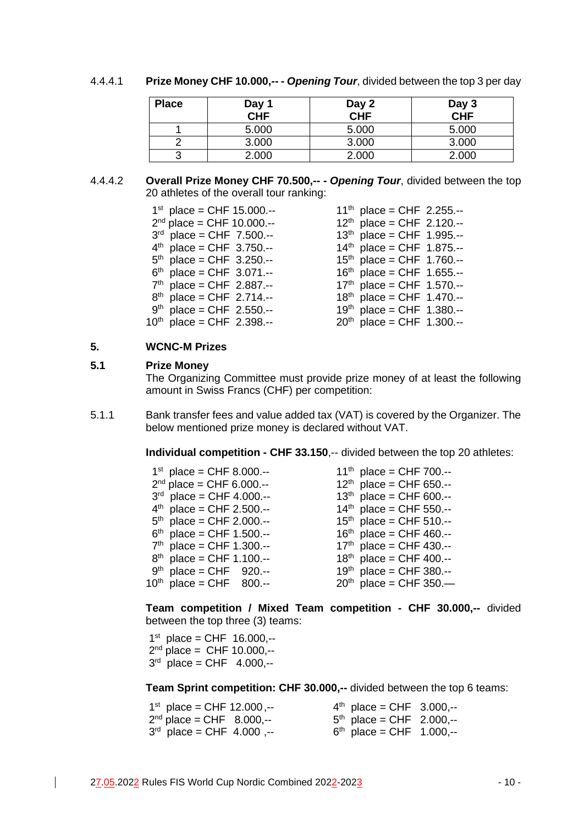#### 4.4.4.1 **Prize Money CHF 10.000,-- -** *Opening Tour*, divided between the top 3 per day

| <b>Place</b> | Day 1<br><b>CHF</b> | Day 2<br><b>CHF</b> | Day 3<br>CHF |
|--------------|---------------------|---------------------|--------------|
|              | 5.000               | 5.000               | 5.000        |
|              | 3.000               | 3.000               | 3.000        |
| ື            | 2.000               | 2.000               | 2.000        |

#### 4.4.4.2 **Overall Prize Money CHF 70.500,-- -** *Opening Tour*, divided between the top 20 athletes of the overall tour ranking:

 $1^{\text{st}}$  place = CHF 15.000.-- 11<sup>th</sup>  $2^{nd}$  place = CHF 10.000.-- 12<sup>th</sup>

 $3<sup>rd</sup>$  place = CHF 7.500.-- 13<sup>th</sup>

 $4<sup>th</sup>$  place = CHF 3.750.-- 14<sup>th</sup>

- $5<sup>th</sup>$  place = CHF 3.250.-- 15<sup>th</sup>
- $6<sup>th</sup>$  place = CHF 3.071.-- 16<sup>th</sup>
- $7<sup>th</sup>$  place = CHF 2.887.-- 17<sup>th</sup>
- $8<sup>th</sup>$  place = CHF 2.714.-- 18<sup>th</sup>

 $9<sup>th</sup>$  place = CHF 2.550.-- 19<sup>th</sup>

 $10^{th}$  place = CHF 2.398.-- 20<sup>th</sup>

 $11^{th}$  place = CHF 2.255.-- $12^{th}$  place = CHF 2.120.- place = CHF 1.995.- place = CHF 1.875.--  $15<sup>th</sup>$  place = CHF 1.760.-- $16<sup>th</sup>$  place = CHF 1.655.- place = CHF 1.570.- place = CHF 1.470.- place = CHF 1.380.- place = CHF 1.300.--

## **5. WCNC-M Prizes**

#### **5.1 Prize Money**

The Organizing Committee must provide prize money of at least the following amount in Swiss Francs (CHF) per competition:

5.1.1 Bank transfer fees and value added tax (VAT) is covered by the Organizer. The below mentioned prize money is declared without VAT.

**Individual competition - CHF 33.150**,-- divided between the top 20 athletes:

| $1^{st}$ place = CHF 8.000.-- | $11^{th}$ place = CHF 700.-- |
|-------------------------------|------------------------------|
| $2^{nd}$ place = CHF 6.000.-- | $12^{th}$ place = CHF 650.-- |
| $3rd$ place = CHF 4.000.--    | $13^{th}$ place = CHF 600.-- |
| $4th$ place = CHF 2.500.--    | $14th$ place = CHF 550.--    |
| $5th$ place = CHF 2.000.--    | $15^{th}$ place = CHF 510.-- |
| $6th$ place = CHF 1.500.--    | $16th$ place = CHF 460.--    |
| $7th$ place = CHF 1.300.--    | $17th$ place = CHF 430.--    |
| $8th$ place = CHF 1.100.--    | $18^{th}$ place = CHF 400.-- |
| $9th$ place = CHF 920.--      | $19th$ place = CHF 380.--    |
| $10^{th}$ place = CHF 800.--  | $20^{th}$ place = CHF 350.   |

**Team competition / Mixed Team competition - CHF 30.000,--** divided between the top three (3) teams:

 $1<sup>st</sup>$  place = CHF 16.000,-- $2^{nd}$  place = CHF 10.000,-- $3<sup>rd</sup>$  place = CHF 4.000,--

**Team Sprint competition: CHF 30.000,--** divided between the top 6 teams:

| $1^{st}$ place = CHF 12.000,-- | $4th$ place = CHF 3.000,-- |  |
|--------------------------------|----------------------------|--|
| $2nd$ place = CHF $8.000,-$    | $5th$ place = CHF 2.000,-- |  |
| $3rd$ place = CHF 4.000 ,--    | $6th$ place = CHF 1.000,-- |  |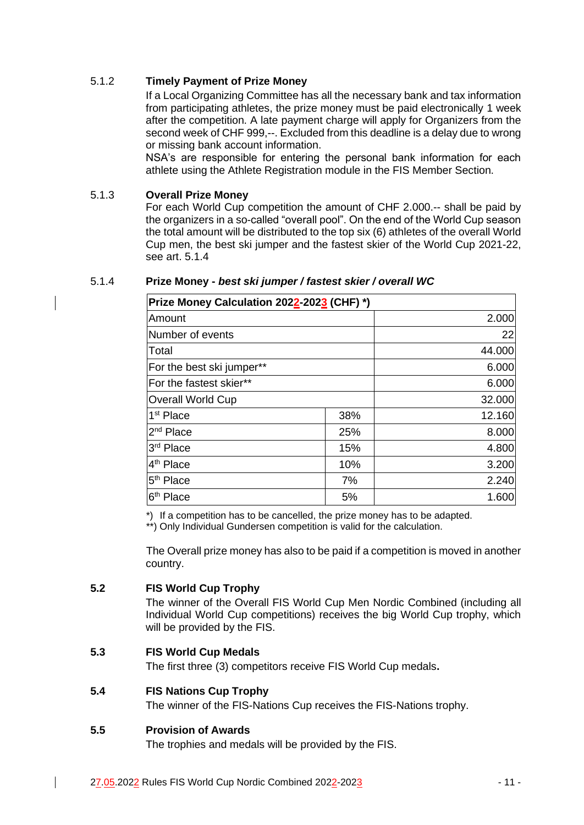## 5.1.2 **Timely Payment of Prize Money**

If a Local Organizing Committee has all the necessary bank and tax information from participating athletes, the prize money must be paid electronically 1 week after the competition. A late payment charge will apply for Organizers from the second week of CHF 999,--. Excluded from this deadline is a delay due to wrong or missing bank account information.

NSA's are responsible for entering the personal bank information for each athlete using the Athlete Registration module in the FIS Member Section.

## 5.1.3 **Overall Prize Money**

For each World Cup competition the amount of CHF 2.000.-- shall be paid by the organizers in a so-called "overall pool". On the end of the World Cup season the total amount will be distributed to the top six (6) athletes of the overall World Cup men, the best ski jumper and the fastest skier of the World Cup 2021-22, see art. 5.1.4

| Prize Money Calculation 2022-2023 (CHF) *) |     |        |  |  |
|--------------------------------------------|-----|--------|--|--|
| Amount                                     |     | 2.000  |  |  |
| Number of events                           |     | 22     |  |  |
| Total                                      |     | 44.000 |  |  |
| For the best ski jumper**                  |     | 6.000  |  |  |
| For the fastest skier**                    |     | 6.000  |  |  |
| <b>Overall World Cup</b>                   |     | 32.000 |  |  |
| 1 <sup>st</sup> Place                      | 38% | 12.160 |  |  |
| $2nd$ Place                                | 25% | 8.000  |  |  |
| 3 <sup>rd</sup> Place                      | 15% | 4.800  |  |  |
| 4 <sup>th</sup> Place                      | 10% | 3.200  |  |  |
| 5 <sup>th</sup> Place                      | 7%  | 2.240  |  |  |
| 6 <sup>th</sup> Place                      | 5%  | 1.600  |  |  |

### 5.1.4 **Prize Money -** *best ski jumper / fastest skier / overall WC*

\*) If a competition has to be cancelled, the prize money has to be adapted.

\*\*) Only Individual Gundersen competition is valid for the calculation.

The Overall prize money has also to be paid if a competition is moved in another country.

## **5.2 FIS World Cup Trophy**

The winner of the Overall FIS World Cup Men Nordic Combined (including all Individual World Cup competitions) receives the big World Cup trophy, which will be provided by the FIS.

## **5.3 FIS World Cup Medals**

The first three (3) competitors receive FIS World Cup medals**.**

## **5.4 FIS Nations Cup Trophy**

The winner of the FIS-Nations Cup receives the FIS-Nations trophy.

#### **5.5 Provision of Awards**

The trophies and medals will be provided by the FIS.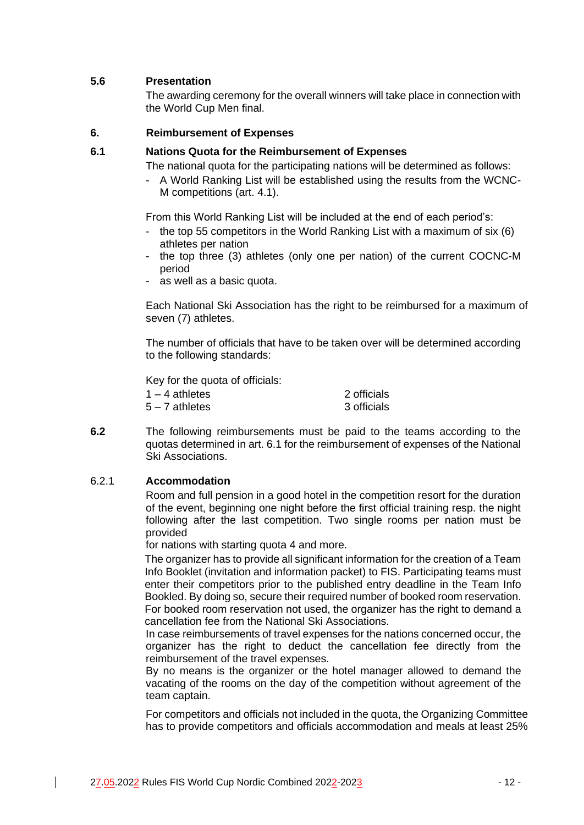## **5.6 Presentation**

The awarding ceremony for the overall winners will take place in connection with the World Cup Men final.

#### **6. Reimbursement of Expenses**

#### **6.1 Nations Quota for the Reimbursement of Expenses**

The national quota for the participating nations will be determined as follows:

- A World Ranking List will be established using the results from the WCNC-M competitions (art. 4.1).

From this World Ranking List will be included at the end of each period's:

- the top 55 competitors in the World Ranking List with a maximum of six (6) athletes per nation
- the top three (3) athletes (only one per nation) of the current COCNC-M period
- as well as a basic quota.

Each National Ski Association has the right to be reimbursed for a maximum of seven (7) athletes.

The number of officials that have to be taken over will be determined according to the following standards:

Key for the quota of officials:

| 1 – 4 athletes | 2 officials |
|----------------|-------------|
| 5 – 7 athletes | 3 officials |

**6.2** The following reimbursements must be paid to the teams according to the quotas determined in art. 6.1 for the reimbursement of expenses of the National Ski Associations.

#### 6.2.1 **Accommodation**

Room and full pension in a good hotel in the competition resort for the duration of the event, beginning one night before the first official training resp. the night following after the last competition. Two single rooms per nation must be provided

for nations with starting quota 4 and more.

The organizer has to provide all significant information for the creation of a Team Info Booklet (invitation and information packet) to FIS. Participating teams must enter their competitors prior to the published entry deadline in the Team Info Bookled. By doing so, secure their required number of booked room reservation. For booked room reservation not used, the organizer has the right to demand a cancellation fee from the National Ski Associations.

In case reimbursements of travel expenses for the nations concerned occur, the organizer has the right to deduct the cancellation fee directly from the reimbursement of the travel expenses.

By no means is the organizer or the hotel manager allowed to demand the vacating of the rooms on the day of the competition without agreement of the team captain.

For competitors and officials not included in the quota, the Organizing Committee has to provide competitors and officials accommodation and meals at least 25%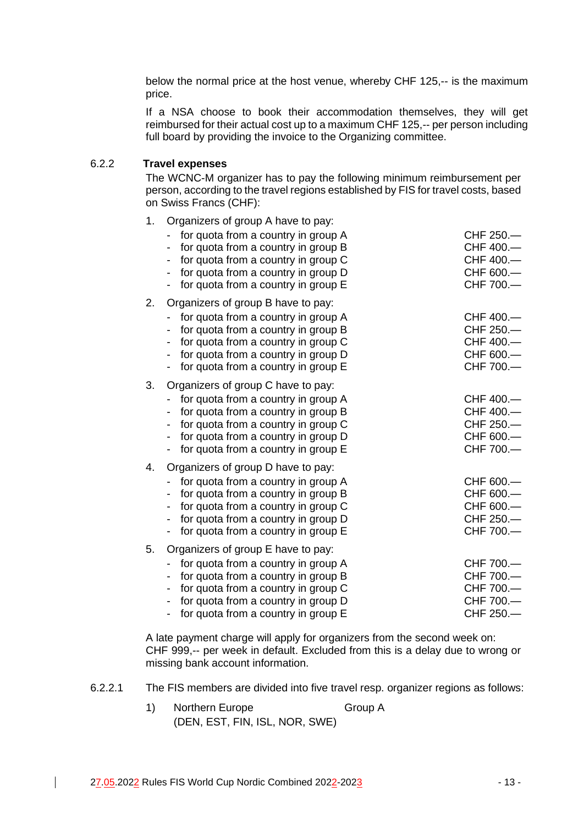below the normal price at the host venue, whereby CHF 125,-- is the maximum price.

If a NSA choose to book their accommodation themselves, they will get reimbursed for their actual cost up to a maximum CHF 125,-- per person including full board by providing the invoice to the Organizing committee.

## 6.2.2 **Travel expenses**

The WCNC-M organizer has to pay the following minimum reimbursement per person, according to the travel regions established by FIS for travel costs, based on Swiss Francs (CHF):

| 1. | Organizers of group A have to pay:                                                                                                                                                                                                                                |                                                               |  |  |
|----|-------------------------------------------------------------------------------------------------------------------------------------------------------------------------------------------------------------------------------------------------------------------|---------------------------------------------------------------|--|--|
|    | for quota from a country in group A<br>for quota from a country in group B<br>for quota from a country in group C<br>for quota from a country in group D<br>for quota from a country in group E                                                                   | CHF 250.-<br>CHF 400.-<br>CHF 400.-<br>CHF 600.-<br>CHF 700.- |  |  |
| 2. | Organizers of group B have to pay:                                                                                                                                                                                                                                |                                                               |  |  |
|    | for quota from a country in group A<br>for quota from a country in group B<br>for quota from a country in group C<br>for quota from a country in group D<br>for quota from a country in group E                                                                   | CHF 400.-<br>CHF 250.<br>CHF 400.-<br>CHF 600.-<br>CHF 700.-  |  |  |
| 3. | Organizers of group C have to pay:<br>for quota from a country in group A<br>for quota from a country in group B<br>for quota from a country in group C<br>for quota from a country in group D<br>for quota from a country in group E                             | CHF 400.-<br>CHF 400.-<br>CHF 250.-<br>CHF 600.-<br>CHF 700.- |  |  |
| 4. | Organizers of group D have to pay:<br>for quota from a country in group A<br>for quota from a country in group B<br>for quota from a country in group C<br>for quota from a country in group D<br>for quota from a country in group E<br>$\overline{\phantom{a}}$ | CHF 600.-<br>CHF 600.-<br>CHF 600.-<br>CHF 250.-<br>CHF 700.- |  |  |
| 5. | Organizers of group E have to pay:<br>for quota from a country in group A<br>for quota from a country in group B<br>for quota from a country in group C<br>for quota from a country in group D<br>for quota from a country in group E<br>$\overline{\phantom{a}}$ | CHF 700.-<br>CHF 700.-<br>CHF 700.-<br>CHF 700.-<br>CHF 250.  |  |  |

A late payment charge will apply for organizers from the second week on: CHF 999,-- per week in default. Excluded from this is a delay due to wrong or missing bank account information.

- 6.2.2.1 The FIS members are divided into five travel resp. organizer regions as follows:
	- 1) Northern Europe Group A (DEN, EST, FIN, ISL, NOR, SWE)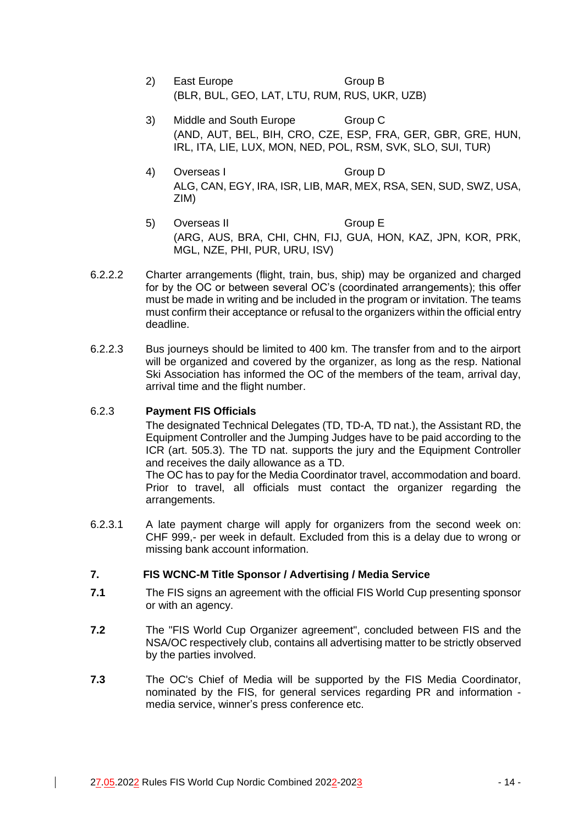- 2) East Europe Group B (BLR, BUL, GEO, LAT, LTU, RUM, RUS, UKR, UZB)
- 3) Middle and South Europe Group C (AND, AUT, BEL, BIH, CRO, CZE, ESP, FRA, GER, GBR, GRE, HUN, IRL, ITA, LIE, LUX, MON, NED, POL, RSM, SVK, SLO, SUI, TUR)
- 4) Overseas I Group D ALG, CAN, EGY, IRA, ISR, LIB, MAR, MEX, RSA, SEN, SUD, SWZ, USA, ZIM)
- 5) Overseas II Group E (ARG, AUS, BRA, CHI, CHN, FIJ, GUA, HON, KAZ, JPN, KOR, PRK, MGL, NZE, PHI, PUR, URU, ISV)
- 6.2.2.2 Charter arrangements (flight, train, bus, ship) may be organized and charged for by the OC or between several OC's (coordinated arrangements); this offer must be made in writing and be included in the program or invitation. The teams must confirm their acceptance or refusal to the organizers within the official entry deadline.
- 6.2.2.3 Bus journeys should be limited to 400 km. The transfer from and to the airport will be organized and covered by the organizer, as long as the resp. National Ski Association has informed the OC of the members of the team, arrival day, arrival time and the flight number.

## 6.2.3 **Payment FIS Officials**

The designated Technical Delegates (TD, TD-A, TD nat.), the Assistant RD, the Equipment Controller and the Jumping Judges have to be paid according to the ICR (art. 505.3). The TD nat. supports the jury and the Equipment Controller and receives the daily allowance as a TD.

The OC has to pay for the Media Coordinator travel, accommodation and board. Prior to travel, all officials must contact the organizer regarding the arrangements.

6.2.3.1 A late payment charge will apply for organizers from the second week on: CHF 999,- per week in default. Excluded from this is a delay due to wrong or missing bank account information.

## **7. FIS WCNC-M Title Sponsor / Advertising / Media Service**

- **7.1** The FIS signs an agreement with the official FIS World Cup presenting sponsor or with an agency.
- **7.2** The "FIS World Cup Organizer agreement", concluded between FIS and the NSA/OC respectively club, contains all advertising matter to be strictly observed by the parties involved.
- **7.3** The OC's Chief of Media will be supported by the FIS Media Coordinator, nominated by the FIS, for general services regarding PR and information media service, winner's press conference etc.